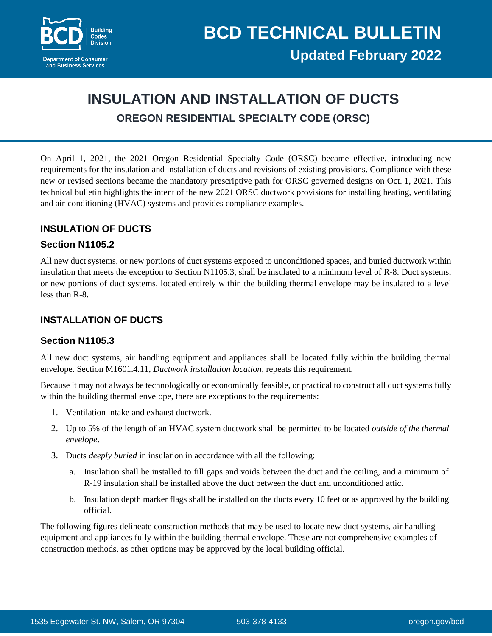

# **INSULATION AND INSTALLATION OF DUCTS OREGON RESIDENTIAL SPECIALTY CODE (ORSC)**

On April 1, 2021, the 2021 Oregon Residential Specialty Code (ORSC) became effective, introducing new requirements for the insulation and installation of ducts and revisions of existing provisions. Compliance with these new or revised sections became the mandatory prescriptive path for ORSC governed designs on Oct. 1, 2021. This technical bulletin highlights the intent of the new 2021 ORSC ductwork provisions for installing heating, ventilating and air-conditioning (HVAC) systems and provides compliance examples.

# **INSULATION OF DUCTS**

### **Section N1105.2**

All new duct systems, or new portions of duct systems exposed to unconditioned spaces, and buried ductwork within insulation that meets the exception to Section N1105.3, shall be insulated to a minimum level of R-8. Duct systems, or new portions of duct systems, located entirely within the building thermal envelope may be insulated to a level less than R-8.

# **INSTALLATION OF DUCTS**

### **Section N1105.3**

All new duct systems, air handling equipment and appliances shall be located fully within the building thermal envelope. Section M1601.4.11, *Ductwork installation location*, repeats this requirement.

Because it may not always be technologically or economically feasible, or practical to construct all duct systems fully within the building thermal envelope, there are exceptions to the requirements:

- 1. Ventilation intake and exhaust ductwork.
- 2. Up to 5% of the length of an HVAC system ductwork shall be permitted to be located *outside of the thermal envelope*.
- 3. Ducts *deeply buried* in insulation in accordance with all the following:
	- a. Insulation shall be installed to fill gaps and voids between the duct and the ceiling, and a minimum of R-19 insulation shall be installed above the duct between the duct and unconditioned attic.
	- b. Insulation depth marker flags shall be installed on the ducts every 10 feet or as approved by the building official.

The following figures delineate construction methods that may be used to locate new duct systems, air handling equipment and appliances fully within the building thermal envelope. These are not comprehensive examples of construction methods, as other options may be approved by the local building official.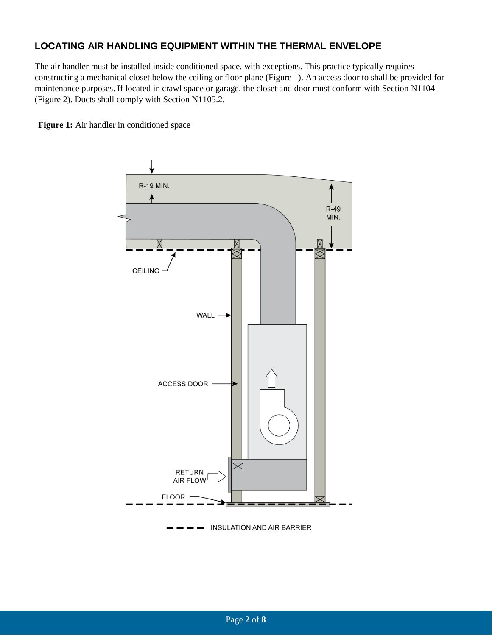# **LOCATING AIR HANDLING EQUIPMENT WITHIN THE THERMAL ENVELOPE**

The air handler must be installed inside conditioned space, with exceptions. This practice typically requires constructing a mechanical closet below the ceiling or floor plane (Figure 1). An access door to shall be provided for maintenance purposes. If located in crawl space or garage, the closet and door must conform with Section N1104 (Figure 2). Ducts shall comply with Section N1105.2.

Figure 1: Air handler in conditioned space

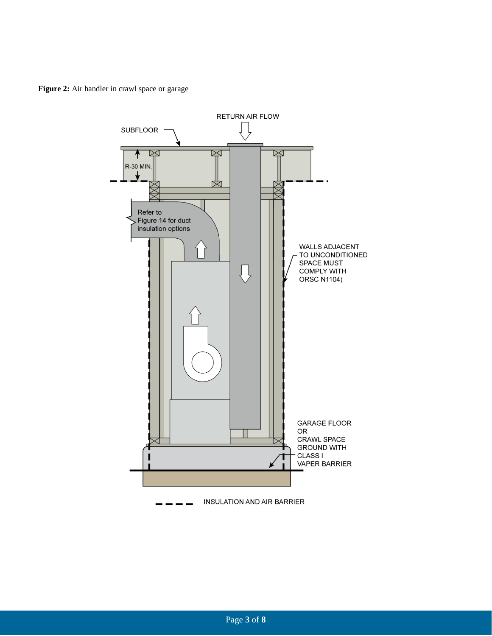**Figure 2:** Air handler in crawl space or garage

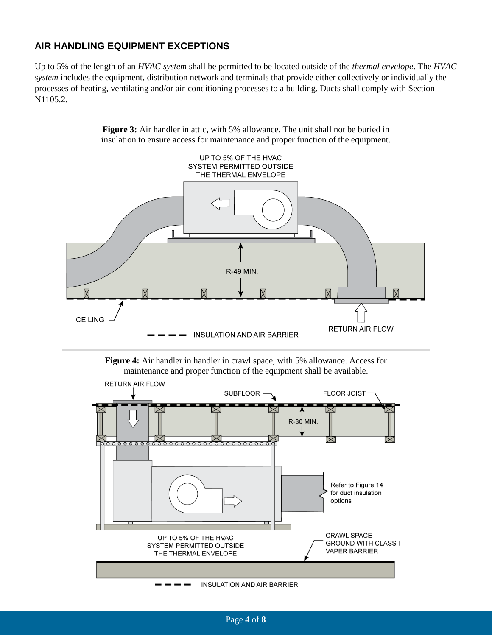### **AIR HANDLING EQUIPMENT EXCEPTIONS**

Up to 5% of the length of an *HVAC system* shall be permitted to be located outside of the *thermal envelope*. The *HVAC system* includes the equipment, distribution network and terminals that provide either collectively or individually the processes of heating, ventilating and/or air-conditioning processes to a building. Ducts shall comply with Section N1105.2.



**Figure 3:** Air handler in attic, with 5% allowance. The unit shall not be buried in insulation to ensure access for maintenance and proper function of the equipment.

**Figure 4:** Air handler in handler in crawl space, with 5% allowance. Access for maintenance and proper function of the equipment shall be available.

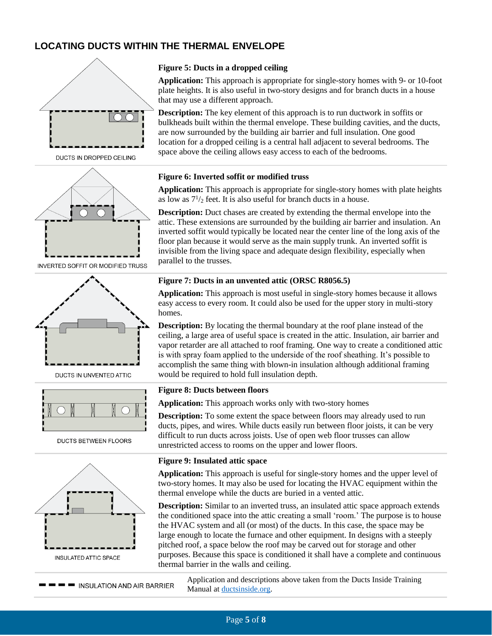# **LOCATING DUCTS WITHIN THE THERMAL ENVELOPE**



DUCTS IN DROPPED CEILING



**INVERTED SOFFIT OR MODIFIED TRUSS** 



DUCTS IN UNVENTED ATTIC



DUCTS BETWEEN FLOORS



**Figure 5: Ducts in a dropped ceiling**

**Application:** This approach is appropriate for single-story homes with 9- or 10-foot plate heights. It is also useful in two-story designs and for branch ducts in a house that may use a different approach.

**Description:** The key element of this approach is to run ductwork in soffits or bulkheads built within the thermal envelope. These building cavities, and the ducts, are now surrounded by the building air barrier and full insulation. One good location for a dropped ceiling is a central hall adjacent to several bedrooms. The space above the ceiling allows easy access to each of the bedrooms.

#### **Figure 6: Inverted soffit or modified truss**

**Application:** This approach is appropriate for single-story homes with plate heights as low as  $7\frac{1}{2}$  feet. It is also useful for branch ducts in a house.

**Description:** Duct chases are created by extending the thermal envelope into the attic. These extensions are surrounded by the building air barrier and insulation. An inverted soffit would typically be located near the center line of the long axis of the floor plan because it would serve as the main supply trunk. An inverted soffit is invisible from the living space and adequate design flexibility, especially when parallel to the trusses.

#### **Figure 7: Ducts in an unvented attic (ORSC R8056.5)**

**Application:** This approach is most useful in single-story homes because it allows easy access to every room. It could also be used for the upper story in multi-story homes.

**Description:** By locating the thermal boundary at the roof plane instead of the ceiling, a large area of useful space is created in the attic. Insulation, air barrier and vapor retarder are all attached to roof framing. One way to create a conditioned attic is with spray foam applied to the underside of the roof sheathing. It's possible to accomplish the same thing with blown-in insulation although additional framing would be required to hold full insulation depth.

#### **Figure 8: Ducts between floors**

**Application:** This approach works only with two-story homes

**Description:** To some extent the space between floors may already used to run ducts, pipes, and wires. While ducts easily run between floor joists, it can be very difficult to run ducts across joists. Use of open web floor trusses can allow unrestricted access to rooms on the upper and lower floors.

#### **Figure 9: Insulated attic space**

**Application:** This approach is useful for single-story homes and the upper level of two-story homes. It may also be used for locating the HVAC equipment within the thermal envelope while the ducts are buried in a vented attic.

**Description:** Similar to an inverted truss, an insulated attic space approach extends the conditioned space into the attic creating a small 'room.' The purpose is to house the HVAC system and all (or most) of the ducts. In this case, the space may be large enough to locate the furnace and other equipment. In designs with a steeply pitched roof, a space below the roof may be carved out for storage and other purposes. Because this space is conditioned it shall have a complete and continuous thermal barrier in the walls and ceiling.

**THE INSULATION AND AIR BARRIER** 

Application and descriptions above taken from the Ducts Inside Training Manual at [ductsinside.org.](https://www.ductsinside.org/)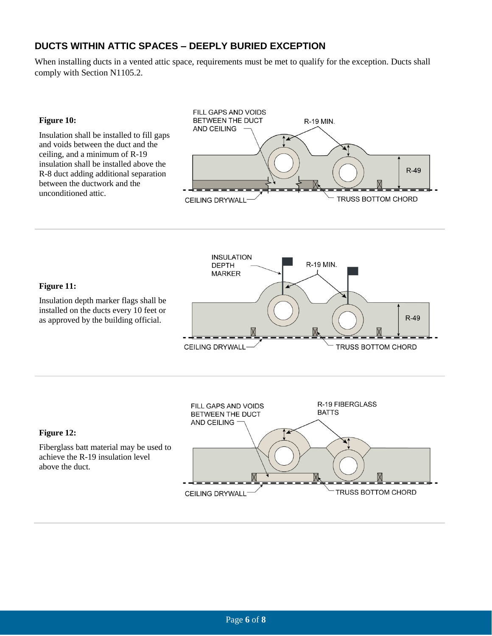# **DUCTS WITHIN ATTIC SPACES – DEEPLY BURIED EXCEPTION**

When installing ducts in a vented attic space, requirements must be met to qualify for the exception. Ducts shall comply with Section N1105.2.

#### **Figure 10:**

Insulation shall be installed to fill gaps and voids between the duct and the ceiling, and a minimum of R-19 insulation shall be installed above the R-8 duct adding additional separation between the ductwork and the unconditioned attic.





#### **Figure 12:**

Fiberglass batt material may be used to achieve the R-19 insulation level above the duct.

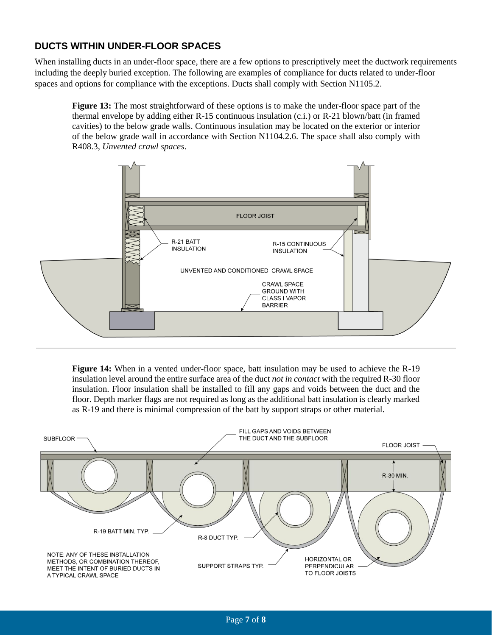# **DUCTS WITHIN UNDER-FLOOR SPACES**

When installing ducts in an under-floor space, there are a few options to prescriptively meet the ductwork requirements including the deeply buried exception. The following are examples of compliance for ducts related to under-floor spaces and options for compliance with the exceptions. Ducts shall comply with Section N1105.2.

**Figure 13:** The most straightforward of these options is to make the under-floor space part of the thermal envelope by adding either R-15 continuous insulation (c.i.) or R-21 blown/batt (in framed cavities) to the below grade walls. Continuous insulation may be located on the exterior or interior of the below grade wall in accordance with Section N1104.2.6. The space shall also comply with R408.3, *Unvented crawl spaces*.



**Figure 14:** When in a vented under-floor space, batt insulation may be used to achieve the R-19 insulation level around the entire surface area of the duct *not in contact* with the required R-30 floor insulation. Floor insulation shall be installed to fill any gaps and voids between the duct and the floor. Depth marker flags are not required as long as the additional batt insulation is clearly marked as R-19 and there is minimal compression of the batt by support straps or other material.